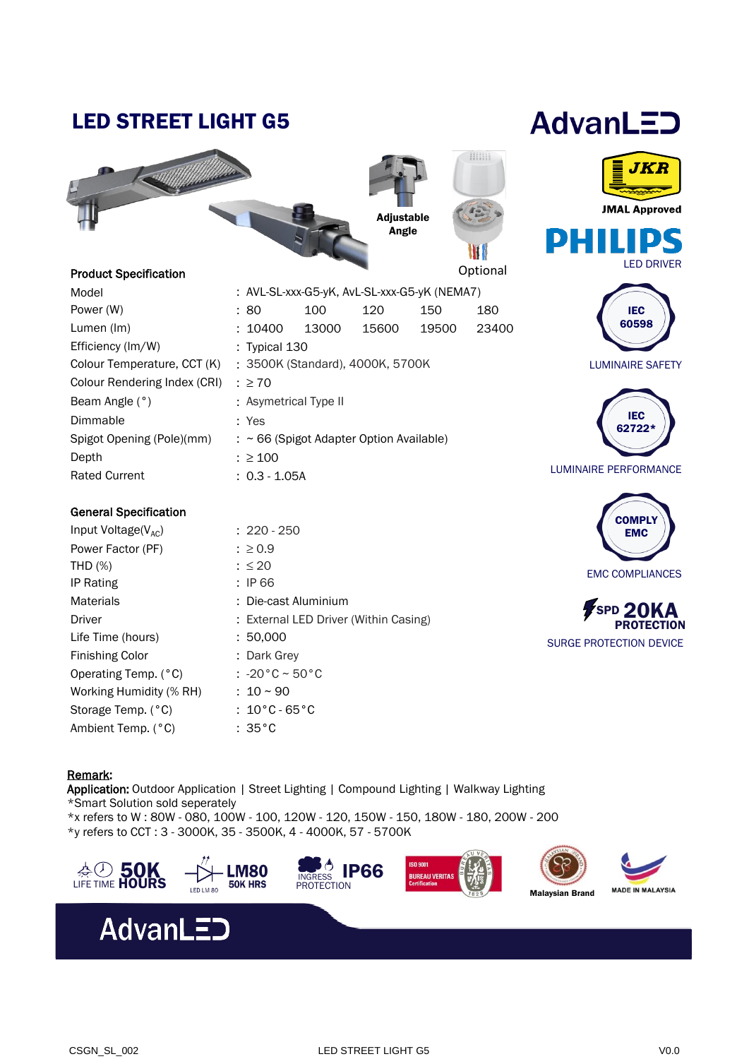## LED STREET LIGHT G5



### Produc

| <b>Product Specification</b> |                                              |       |       |       | Option |
|------------------------------|----------------------------------------------|-------|-------|-------|--------|
| Model                        | : AVL-SL-xxx-G5-yK, AvL-SL-xxx-G5-yK (NEMA7) |       |       |       |        |
| Power (W)                    | :80                                          | 100   | 120   | 150   | 180    |
| Lumen (Im)                   | : 10400                                      | 13000 | 15600 | 19500 | 234    |
| Efficiency (Im/W)            | : Typical $130$                              |       |       |       |        |
| Colour Temperature, CCT (K)  | : 3500K (Standard), 4000K, 5700K             |       |       |       |        |
| Colour Rendering Index (CRI) | $: \geq 70$                                  |       |       |       |        |
| Beam Angle (°)               | : Asymetrical Type II                        |       |       |       |        |

: Yes

: ≥ 100 : 0.3 - 1.05A

: ~ 66 (Spigot Adapter Option Available)

Rated Current Colour Beam  $A$ Dimmable Spigot Opening (Pole)(mm) Depth

### General Specification

| Input Voltage( $V_{AC}$ ) | $: 220 - 250$                         |  |  |
|---------------------------|---------------------------------------|--|--|
| Power Factor (PF)         | $: \ge 0.9$                           |  |  |
| <b>THD (%)</b>            | $: \leq 20$                           |  |  |
| <b>IP Rating</b>          | : IP 66                               |  |  |
| <b>Materials</b>          | : Die-cast Aluminium                  |  |  |
| Driver                    | : External LED Driver (Within Casing) |  |  |
| Life Time (hours)         | : 50.000                              |  |  |
| <b>Finishing Color</b>    | : Dark Grey                           |  |  |
| Operating Temp. (°C)      | : $-20\degree C \sim 50\degree C$     |  |  |
| Working Humidity (% RH)   | $: 10 \sim 90$                        |  |  |
| Storage Temp. (°C)        | : $10^{\circ}$ C - 65 $^{\circ}$ C    |  |  |
| Ambient Temp. (°C)        | $:35^{\circ}$ C                       |  |  |





**JMAL Approved** 



19500 23400

Optional

III

Adjustable Angle





LUMINAIRE PERFORMANCE



SPD 20KA **PROTECTION** SURGE PROTECTION DEVICE

### Remark:

Application: Outdoor Application | Street Lighting | Compound Lighting | Walkway Lighting \*Smart Solution sold seperately \*x refers to W : 80W - 080, 100W - 100, 120W - 120, 150W - 150, 180W - 180, 200W - 200

\*y refers to CCT : 3 - 3000K, 35 - 3500K, 4 - 4000K, 57 - 5700K